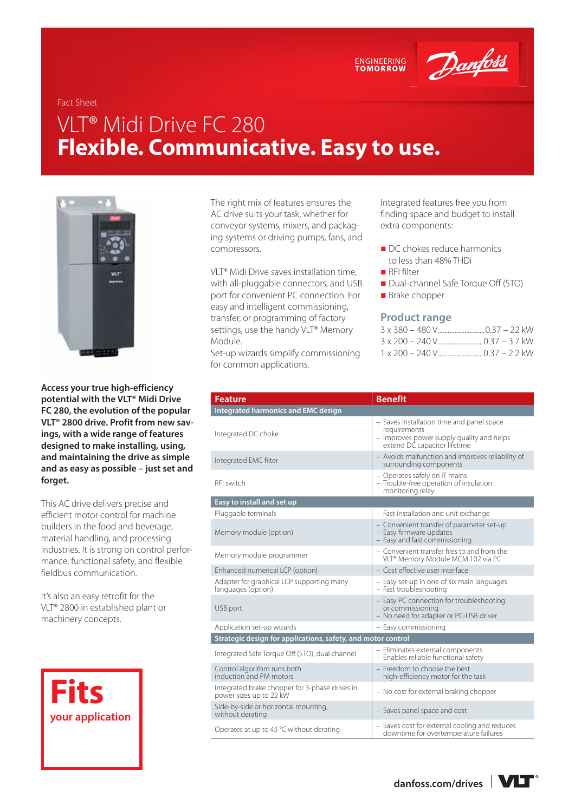ENGINEERING<br>TOMORROW

Danfoss

## Fact Sheet

# VLT® Midi Drive FC 280 **Flexible. Communicative. Easy to use.**



**Access your true high-efficiency potential with the VLT® Midi Drive FC 280, the evolution of the popular VLT® 2800 drive. Profit from new savings, with a wide range of features designed to make installing, using, and maintaining the drive as simple and as easy as possible – just set and forget.** 

This AC drive delivers precise and efficient motor control for machine builders in the food and beverage, material handling, and processing industries. It is strong on control performance, functional safety, and flexible fieldbus communication.

It's also an easy retrofit for the VLT® 2800 in established plant or machinery concepts.



The right mix of features ensures the AC drive suits your task, whether for conveyor systems, mixers, and packaging systems or driving pumps, fans, and compressors.

VLT® Midi Drive saves installation time, with all-pluggable connectors, and USB port for convenient PC connection. For easy and intelligent commissioning, transfer, or programming of factory settings, use the handy VLT® Memory Module.

Set-up wizards simplify commissioning for common applications.

Integrated features free you from finding space and budget to install extra components:

- DC chokes reduce harmonics to less than 48% THDi
- RFI filter
- Dual-channel Safe Torque Off (STO)
- **Brake chopper**

#### **Product range**

| <b>Feature</b>                                                            | <b>Benefit</b>                                                                                                                         |  |  |  |
|---------------------------------------------------------------------------|----------------------------------------------------------------------------------------------------------------------------------------|--|--|--|
| <b>Integrated harmonics and EMC design</b>                                |                                                                                                                                        |  |  |  |
| Integrated DC choke                                                       | - Saves installation time and panel space<br>requirements<br>- Improves power supply quality and helps<br>extend DC capacitor lifetime |  |  |  |
| Integrated EMC filter                                                     | - Avoids malfunction and improves reliability of<br>surrounding components                                                             |  |  |  |
| RFI switch                                                                | - Operates safely on IT mains<br>- Trouble-free operation of insulation<br>monitoring relay                                            |  |  |  |
| Easy to install and set up                                                |                                                                                                                                        |  |  |  |
| Pluggable terminals                                                       | - Fast installation and unit exchange                                                                                                  |  |  |  |
| Memory module (option)                                                    | - Convenient transfer of parameter set-up<br>- Easy firmware updates<br>- Easy and fast commissioning                                  |  |  |  |
| Memory module programmer                                                  | - Convenient transfer files to and from the<br>VLT <sup>®</sup> Memory Module MCM 102 via PC                                           |  |  |  |
| Enhanced numerical LCP (option)                                           | - Cost effective user interface                                                                                                        |  |  |  |
| Adapter for graphical LCP supporting many<br>languages (option)           | - Easy set-up in one of six main languages<br>- Fast troubleshooting                                                                   |  |  |  |
| USB port                                                                  | - Easy PC connection for troubleshooting<br>or commissioning<br>- No need for adapter or PC-USB driver                                 |  |  |  |
| Application set-up wizards                                                | - Easy commissioning                                                                                                                   |  |  |  |
| Strategic design for applications, safety, and motor control              |                                                                                                                                        |  |  |  |
| Integrated Safe Torque Off (STO), dual channel                            | - Eliminates external components<br>- Enables reliable functional safety                                                               |  |  |  |
| Control algorithm runs both<br>induction and PM motors                    | - Freedom to choose the best<br>high-efficiency motor for the task                                                                     |  |  |  |
| Integrated brake chopper for 3-phase drives in<br>power sizes up to 22 kW | - No cost for external braking chopper                                                                                                 |  |  |  |
| Side-by-side or horizontal mounting,<br>without derating                  | - Saves panel space and cost                                                                                                           |  |  |  |
| Operates at up to 45 °C without derating                                  | - Saves cost for external cooling and reduces<br>downtime for overtemperature failures                                                 |  |  |  |